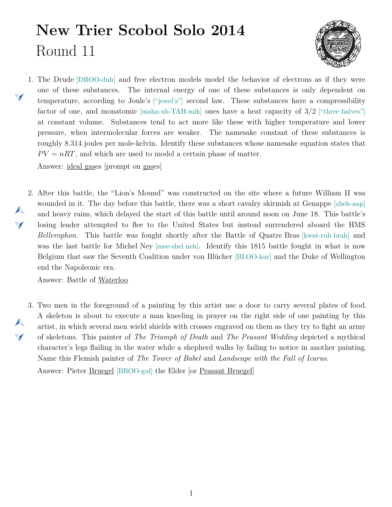## **New Trier Scobol Solo 2014** Round 11



<span id="page-0-1"></span>1. The Drude [DROO-duh] and free electron models model the behavior of electrons as if they were one of these substances. The internal energy of one of these substances is only dependent on temperature, according to Joule's ["jewel's"] second law. These substances have a compressibility factor of one, and monatomic [mahn-uh-TAH-mik] ones have a heat capacity of  $3/2$  ["three halves"] at constant volume. Substances tend to act more like these with higher temperature and lower pressure, when intermolecular forces are weaker. The namesake constant of these substances is roughly 8.314 joules per mole-kelvin. Identify these substances whose namesake equation states that  $PV = nRT$ , and which are used to model a certain phase of matter.

Answer: ideal gases [prompt on gases]

<span id="page-0-0"></span>2. After this battle, the "Lion's Mound" was constructed on the site where a future William II was  $\blacktriangle$  $\blacktriangledown$ wounded in it. The day before this battle, there was a short cavalry skirmish at Genappe [zheh-nap] and heavy rains, which delayed the start of this battle until around noon on June 18. This battle's losing leader attempted to flee to the United States but instead surrendered aboard the HMS *Bellerophon*. This battle was fought shortly after the Battle of Quatre Bras [kwat-ruh brah] and was the last battle for Michel Ney [mee-shel neh]. Identify this 1815 battle fought in what is now Belgium that saw the Seventh Coalition under von Blücher [BLOO-kur] and the Duke of Wellington end the Napoleonic era.

Answer: Battle of Waterloo

<span id="page-0-2"></span> $\blacktriangle$  $\blacktriangleleft$ 

 $\blacktriangleleft$ 

3. Two men in the foreground of a painting by this artist use a door to carry several plates of food. A skeleton is about to execute a man kneeling in prayer on the right side of one painting by this artist, in which several men wield shields with crosses engraved on them as they try to fight an army of skeletons. This painter of *The Triumph of Death* and *The Peasant Wedding* depicted a mythical character's legs flailing in the water while a shepherd walks by failing to notice in another painting. Name this Flemish painter of *The Tower of Babel* and *Landscape with the Fall of Icarus*.

Answer: Pieter Bruegel [BROO-gul] the Elder [or Peasant Bruegel]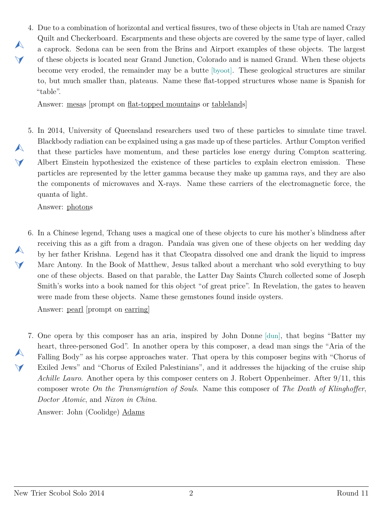<span id="page-1-0"></span>4. Due to a combination of horizontal and vertical fissures, two of these objects in Utah are named Crazy Quilt and Checkerboard. Escarpments and these objects are covered by the same type of layer, called a caprock. Sedona can be seen from the Brins and Airport examples of these objects. The largest of these objects is located near Grand Junction, Colorado and is named Grand. When these objects become very eroded, the remainder may be a butte [byoot]. These geological structures are similar to, but much smaller than, plateaus. Name these flat-topped structures whose name is Spanish for "table".

Answer: mesas [prompt on flat-topped mountains or tablelands]

<span id="page-1-1"></span>5. In 2014, University of Queensland researchers used two of these particles to simulate time travel. Blackbody radiation can be explained using a gas made up of these particles. Arthur Compton verified that these particles have momentum, and these particles lose energy during Compton scattering. Albert Einstein hypothesized the existence of these particles to explain electron emission. These particles are represented by the letter gamma because they make up gamma rays, and they are also the components of microwaves and X-rays. Name these carriers of the electromagnetic force, the quanta of light.

Answer: photons

 $\blacktriangle$ 

 $\blacktriangledown$ 

 $\blacktriangle$ 

 $\vee$ 

 $\blacktriangle$ 

 $\blacktriangledown$ 

 $\blacktriangle$ 

 $\blacktriangledown$ 

<span id="page-1-2"></span>6. In a Chinese legend, Tchang uses a magical one of these objects to cure his mother's blindness after receiving this as a gift from a dragon. Pandaïa was given one of these objects on her wedding day by her father Krishna. Legend has it that Cleopatra dissolved one and drank the liquid to impress Marc Antony. In the Book of Matthew, Jesus talked about a merchant who sold everything to buy one of these objects. Based on that parable, the Latter Day Saints Church collected some of Joseph Smith's works into a book named for this object "of great price". In Revelation, the gates to heaven were made from these objects. Name these gemstones found inside oysters.

Answer: pearl [prompt on earring]

<span id="page-1-3"></span>7. One opera by this composer has an aria, inspired by John Donne [dun], that begins "Batter my heart, three-personed God". In another opera by this composer, a dead man sings the "Aria of the Falling Body" as his corpse approaches water. That opera by this composer begins with "Chorus of Exiled Jews" and "Chorus of Exiled Palestinians", and it addresses the hijacking of the cruise ship *Achille Lauro*. Another opera by this composer centers on J. Robert Oppenheimer. After 9/11, this composer wrote *On the Transmigration of Souls*. Name this composer of *The Death of Klinghoffer*, *Doctor Atomic*, and *Nixon in China*.

Answer: John (Coolidge) Adams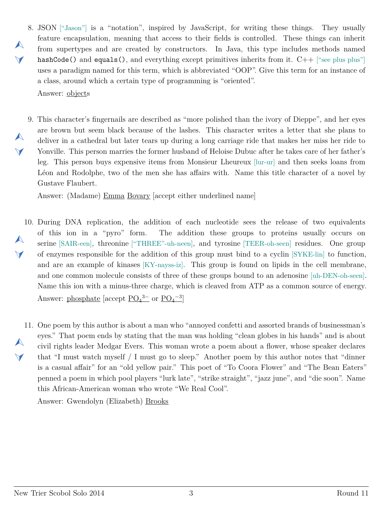- <span id="page-2-0"></span>8. JSON ["Jason"] is a "notation", inspired by JavaScript, for writing these things. They usually feature encapsulation, meaning that access to their fields is controlled. These things can inherit from supertypes and are created by constructors. In Java, this type includes methods named hashCode() and equals(), and everything except primitives inherits from it. C++ ["see plus plus"] uses a paradigm named for this term, which is abbreviated "OOP". Give this term for an instance of a class, around which a certain type of programming is "oriented". Answer: objects
- <span id="page-2-1"></span>9. This character's fingernails are described as "more polished than the ivory of Dieppe", and her eyes  $\blacktriangle$  $\blacktriangleleft$ are brown but seem black because of the lashes. This character writes a letter that she plans to deliver in a cathedral but later tears up during a long carriage ride that makes her miss her ride to Yonville. This person marries the former husband of Heloise Dubuc after he takes care of her father's leg. This person buys expensive items from Monsieur Lheureux [lur-ur] and then seeks loans from Léon and Rodolphe, two of the men she has affairs with. Name this title character of a novel by Gustave Flaubert.

Answer: (Madame) Emma Bovary [accept either underlined name]

- <span id="page-2-2"></span>10. During DNA replication, the addition of each nucleotide sees the release of two equivalents  $\blacktriangle$  $\vee$ of this ion in a "pyro" form. The addition these groups to proteins usually occurs on serine [SAIR-een], threonine ["THREE"-uh-neen], and tyrosine [TEER-oh-seen] residues. One group of enzymes responsible for the addition of this group must bind to a cyclin [SYKE-lin] to function, and are an example of kinases [KY-nayss-iz]. This group is found on lipids in the cell membrane, and one common molecule consists of three of these groups bound to an adenosine [uh-DEN-oh-seen]. Name this ion with a minus-three charge, which is cleaved from ATP as a common source of energy. Answer: phosphate [accept  $\underline{PO_4}^{3-}$  or  $\underline{PO_4}^{-3}$ ]
- <span id="page-2-3"></span>11. One poem by this author is about a man who "annoyed confetti and assorted brands of businessman's A  $\blacktriangledown$ eyes." That poem ends by stating that the man was holding "clean globes in his hands" and is about civil rights leader Medgar Evers. This woman wrote a poem about a flower, whose speaker declares that "I must watch myself / I must go to sleep." Another poem by this author notes that "dinner is a casual affair" for an "old yellow pair." This poet of "To Coora Flower" and "The Bean Eaters" penned a poem in which pool players "lurk late", "strike straight", "jazz june", and "die soon". Name this African-American woman who wrote "We Real Cool".

Answer: Gwendolyn (Elizabeth) Brooks

 $\blacktriangle$ 

 $\blacktriangledown$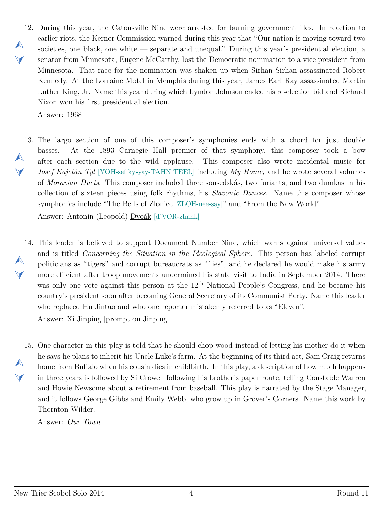<span id="page-3-0"></span>12. During this year, the Catonsville Nine were arrested for burning government files. In reaction to  $\blacktriangle$  $\vee$ earlier riots, the Kerner Commission warned during this year that "Our nation is moving toward two societies, one black, one white — separate and unequal." During this year's presidential election, a senator from Minnesota, Eugene McCarthy, lost the Democratic nomination to a vice president from Minnesota. That race for the nomination was shaken up when Sirhan Sirhan assassinated Robert Kennedy. At the Lorraine Motel in Memphis during this year, James Earl Ray assassinated Martin Luther King, Jr. Name this year during which Lyndon Johnson ended his re-election bid and Richard Nixon won his first presidential election.

Answer: 1968

<span id="page-3-1"></span>13. The largo section of one of this composer's symphonies ends with a chord for just double  $\blacktriangle$  $\blacktriangledown$ basses. At the 1893 Carnegie Hall premier of that symphony, this composer took a bow after each section due to the wild applause. This composer also wrote incidental music for *Josef Kajetán Tyl* [YOH-sef ky-yay-TAHN TEEL] including *My Home*, and he wrote several volumes of *Moravian Duets*. This composer included three sousedskás, two furiants, and two dumkas in his collection of sixteen pieces using folk rhythms, his *Slavonic Dances*. Name this composer whose symphonies include "The Bells of Zlonice [ZLOH-nee-say]" and "From the New World".

Answer: Antonín (Leopold) Dvoák [d'VOR-zhahk]

<span id="page-3-2"></span>14. This leader is believed to support Document Number Nine, which warns against universal values  $\blacktriangle$  $\blacktriangle$ and is titled *Concerning the Situation in the Ideological Sphere*. This person has labeled corrupt politicians as "tigers" and corrupt bureaucrats as "flies", and he declared he would make his army more efficient after troop movements undermined his state visit to India in September 2014. There was only one vote against this person at the 12<sup>th</sup> National People's Congress, and he became his country's president soon after becoming General Secretary of its Communist Party. Name this leader who replaced Hu Jintao and who one reporter mistakenly referred to as "Eleven".

Answer: Xi Jinping [prompt on Jinping]

<span id="page-3-3"></span>15. One character in this play is told that he should chop wood instead of letting his mother do it when  $\blacktriangle$  $\blacktriangledown$ he says he plans to inherit his Uncle Luke's farm. At the beginning of its third act, Sam Craig returns home from Buffalo when his cousin dies in childbirth. In this play, a description of how much happens in three years is followed by Si Crowell following his brother's paper route, telling Constable Warren and Howie Newsome about a retirement from baseball. This play is narrated by the Stage Manager, and it follows George Gibbs and Emily Webb, who grow up in Grover's Corners. Name this work by Thornton Wilder.

Answer: *Our Town*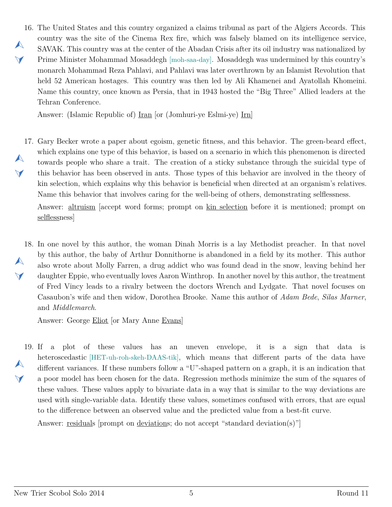<span id="page-4-0"></span>16. The United States and this country organized a claims tribunal as part of the Algiers Accords. This  $\blacktriangle$  $\vee$ country was the site of the Cinema Rex fire, which was falsely blamed on its intelligence service, SAVAK. This country was at the center of the Abadan Crisis after its oil industry was nationalized by Prime Minister Mohammad Mosaddegh [moh-saa-day]. Mosaddegh was undermined by this country's monarch Mohammad Reza Pahlavi, and Pahlavi was later overthrown by an Islamist Revolution that held 52 American hostages. This country was then led by Ali Khamenei and Ayatollah Khomeini. Name this country, once known as Persia, that in 1943 hosted the "Big Three" Allied leaders at the Tehran Conference.

Answer: (Islamic Republic of) Iran [or (Jomhuri-ye Eslmi-ye) Irn]

<span id="page-4-1"></span>17. Gary Becker wrote a paper about egoism, genetic fitness, and this behavior. The green-beard effect,  $\blacktriangle$  $\blacktriangledown$ which explains one type of this behavior, is based on a scenario in which this phenomenon is directed towards people who share a trait. The creation of a sticky substance through the suicidal type of this behavior has been observed in ants. Those types of this behavior are involved in the theory of kin selection, which explains why this behavior is beneficial when directed at an organism's relatives. Name this behavior that involves caring for the well-being of others, demonstrating selflessness.

Answer: altruism [accept word forms; prompt on kin selection before it is mentioned; prompt on selflessness]

<span id="page-4-2"></span>18. In one novel by this author, the woman Dinah Morris is a lay Methodist preacher. In that novel  $\blacktriangle$  $\blacktriangledown$ by this author, the baby of Arthur Donnithorne is abandoned in a field by its mother. This author also wrote about Molly Farren, a drug addict who was found dead in the snow, leaving behind her daughter Eppie, who eventually loves Aaron Winthrop. In another novel by this author, the treatment of Fred Vincy leads to a rivalry between the doctors Wrench and Lydgate. That novel focuses on Casaubon's wife and then widow, Dorothea Brooke. Name this author of *Adam Bede*, *Silas Marner*, and *Middlemarch*.

Answer: George Eliot [or Mary Anne Evans]

<span id="page-4-3"></span>19. If  $a$  $\blacktriangle$  $\blacktriangledown$ If a plot of these values has an uneven envelope, it is a sign that data is heteroscedastic [HET-uh-roh-skeh-DAAS-tik], which means that different parts of the data have different variances. If these numbers follow a "U"-shaped pattern on a graph, it is an indication that a poor model has been chosen for the data. Regression methods minimize the sum of the squares of these values. These values apply to bivariate data in a way that is similar to the way deviations are used with single-variable data. Identify these values, sometimes confused with errors, that are equal to the difference between an observed value and the predicted value from a best-fit curve.

Answer: residuals [prompt on deviations; do not accept "standard deviation(s)"]